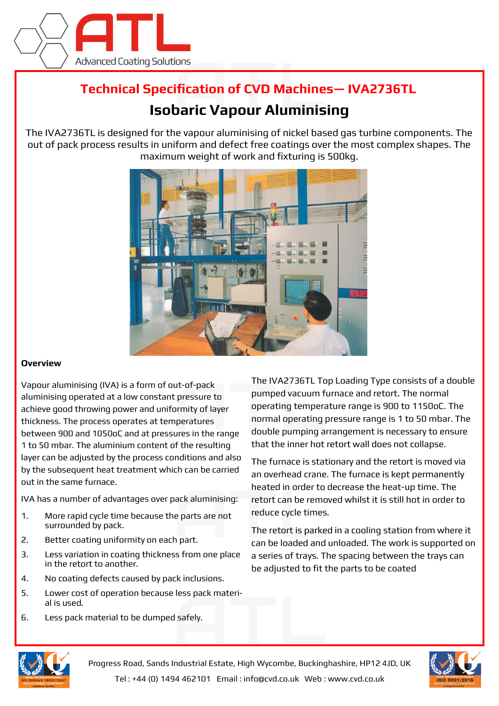

## **Technical Specification of CVD Machines— IVA2736TL**

## **Isobaric Vapour Aluminising**

The IVA2736TL is designed for the vapour aluminising of nickel based gas turbine components. The out of pack process results in uniform and defect free coatings over the most complex shapes. The maximum weight of work and fixturing is 500kg.



## **Overview**

Vapour aluminising (IVA) is a form of out-of-pack aluminising operated at a low constant pressure to achieve good throwing power and uniformity of layer thickness. The process operates at temperatures between 900 and 1050oC and at pressures in the range 1 to 50 mbar. The aluminium content of the resulting layer can be adjusted by the process conditions and also by the subsequent heat treatment which can be carried out in the same furnace.

IVA has a number of advantages over pack aluminising:

- 1. More rapid cycle time because the parts are not surrounded by pack.
- 2. Better coating uniformity on each part.
- 3. Less variation in coating thickness from one place in the retort to another.
- 4. No coating defects caused by pack inclusions.
- 5. Lower cost of operation because less pack material is used.
- 6. Less pack material to be dumped safely.

The IVA2736TL Top Loading Type consists of a double pumped vacuum furnace and retort. The normal operating temperature range is 900 to 1150oC. The normal operating pressure range is 1 to 50 mbar. The double pumping arrangement is necessary to ensure that the inner hot retort wall does not collapse.

The furnace is stationary and the retort is moved via an overhead crane. The furnace is kept permanently heated in order to decrease the heat-up time. The retort can be removed whilst it is still hot in order to reduce cycle times.

The retort is parked in a cooling station from where it can be loaded and unloaded. The work is supported on a series of trays. The spacing between the trays can be adjusted to fit the parts to be coated



Progress Road, Sands Industrial Estate, High Wycombe, Buckinghashire, HP12 4JD, UK Tel : +44 (0) 1494 462101 Email : info@cvd.co.uk Web : www.cvd.co.uk